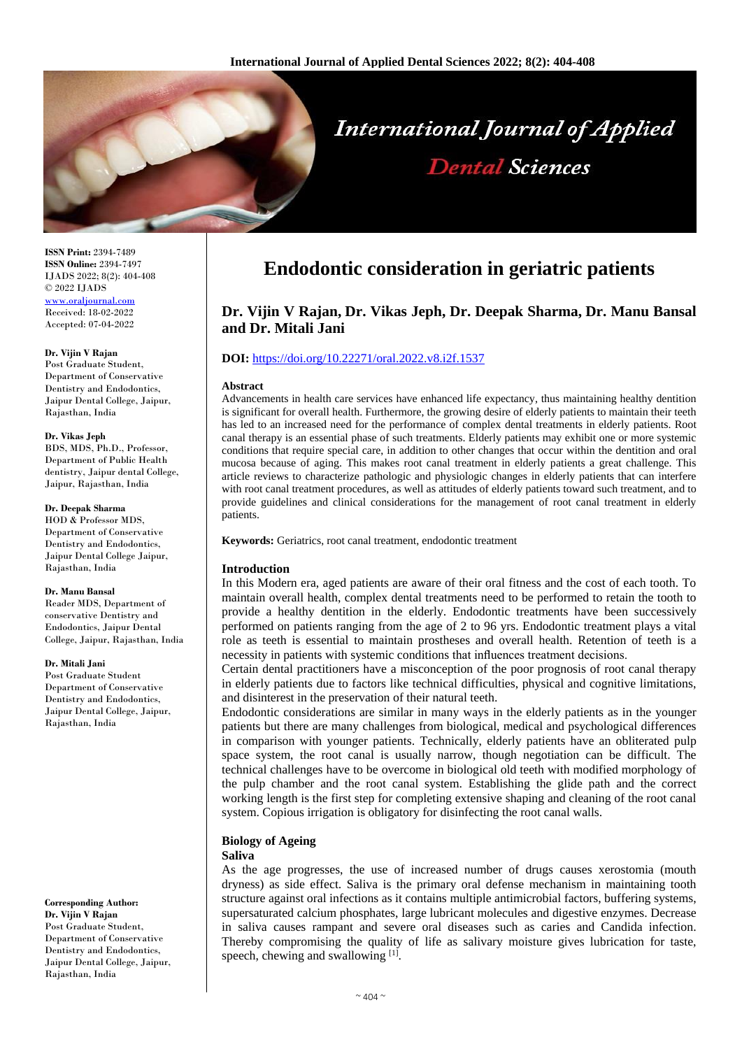

**ISSN Print:** 2394-7489 **ISSN Online:** 2394-7497 IJADS 2022; 8(2): 404-408 © 2022 IJADS [www.oraljournal.com](http://www.oraljournal.com/) Received: 18-02-2022 Accepted: 07-04-2022

#### **Dr. Vijin V Rajan**

Post Graduate Student, Department of Conservative Dentistry and Endodontics, Jaipur Dental College, Jaipur, Rajasthan, India

#### **Dr. Vikas Jeph**

BDS, MDS, Ph.D., Professor, Department of Public Health dentistry, Jaipur dental College, Jaipur, Rajasthan, India

#### **Dr. Deepak Sharma**

HOD & Professor MDS, Department of Conservative Dentistry and Endodontics, Jaipur Dental College Jaipur, Rajasthan, India

#### **Dr. Manu Bansal**

Reader MDS, Department of conservative Dentistry and Endodontics, Jaipur Dental College, Jaipur, Rajasthan, India

#### **Dr. Mitali Jani**

Post Graduate Student Department of Conservative Dentistry and Endodontics, Jaipur Dental College, Jaipur, Rajasthan, India

#### **Corresponding Author: Dr. Vijin V Rajan** Post Graduate Student, Department of Conservative Dentistry and Endodontics, Jaipur Dental College, Jaipur, Rajasthan, India

# **Endodontic consideration in geriatric patients**

# **Dr. Vijin V Rajan, Dr. Vikas Jeph, Dr. Deepak Sharma, Dr. Manu Bansal and Dr. Mitali Jani**

# **DOI:** <https://doi.org/10.22271/oral.2022.v8.i2f.1537>

#### **Abstract**

Advancements in health care services have enhanced life expectancy, thus maintaining healthy dentition is significant for overall health. Furthermore, the growing desire of elderly patients to maintain their teeth has led to an increased need for the performance of complex dental treatments in elderly patients. Root canal therapy is an essential phase of such treatments. Elderly patients may exhibit one or more systemic conditions that require special care, in addition to other changes that occur within the dentition and oral mucosa because of aging. This makes root canal treatment in elderly patients a great challenge. This article reviews to characterize pathologic and physiologic changes in elderly patients that can interfere with root canal treatment procedures, as well as attitudes of elderly patients toward such treatment, and to provide guidelines and clinical considerations for the management of root canal treatment in elderly patients.

**Keywords:** Geriatrics, root canal treatment, endodontic treatment

# **Introduction**

In this Modern era, aged patients are aware of their oral fitness and the cost of each tooth. To maintain overall health, complex dental treatments need to be performed to retain the tooth to provide a healthy dentition in the elderly. Endodontic treatments have been successively performed on patients ranging from the age of 2 to 96 yrs. Endodontic treatment plays a vital role as teeth is essential to maintain prostheses and overall health. Retention of teeth is a necessity in patients with systemic conditions that influences treatment decisions.

Certain dental practitioners have a misconception of the poor prognosis of root canal therapy in elderly patients due to factors like technical difficulties, physical and cognitive limitations, and disinterest in the preservation of their natural teeth.

Endodontic considerations are similar in many ways in the elderly patients as in the younger patients but there are many challenges from biological, medical and psychological differences in comparison with younger patients. Technically, elderly patients have an obliterated pulp space system, the root canal is usually narrow, though negotiation can be difficult. The technical challenges have to be overcome in biological old teeth with modified morphology of the pulp chamber and the root canal system. Establishing the glide path and the correct working length is the first step for completing extensive shaping and cleaning of the root canal system. Copious irrigation is obligatory for disinfecting the root canal walls.

# **Biology of Ageing**

#### **Saliva**

As the age progresses, the use of increased number of drugs causes xerostomia (mouth dryness) as side effect. Saliva is the primary oral defense mechanism in maintaining tooth structure against oral infections as it contains multiple antimicrobial factors, buffering systems, supersaturated calcium phosphates, large lubricant molecules and digestive enzymes. Decrease in saliva causes rampant and severe oral diseases such as caries and Candida infection. Thereby compromising the quality of life as salivary moisture gives lubrication for taste, speech, chewing and swallowing [1].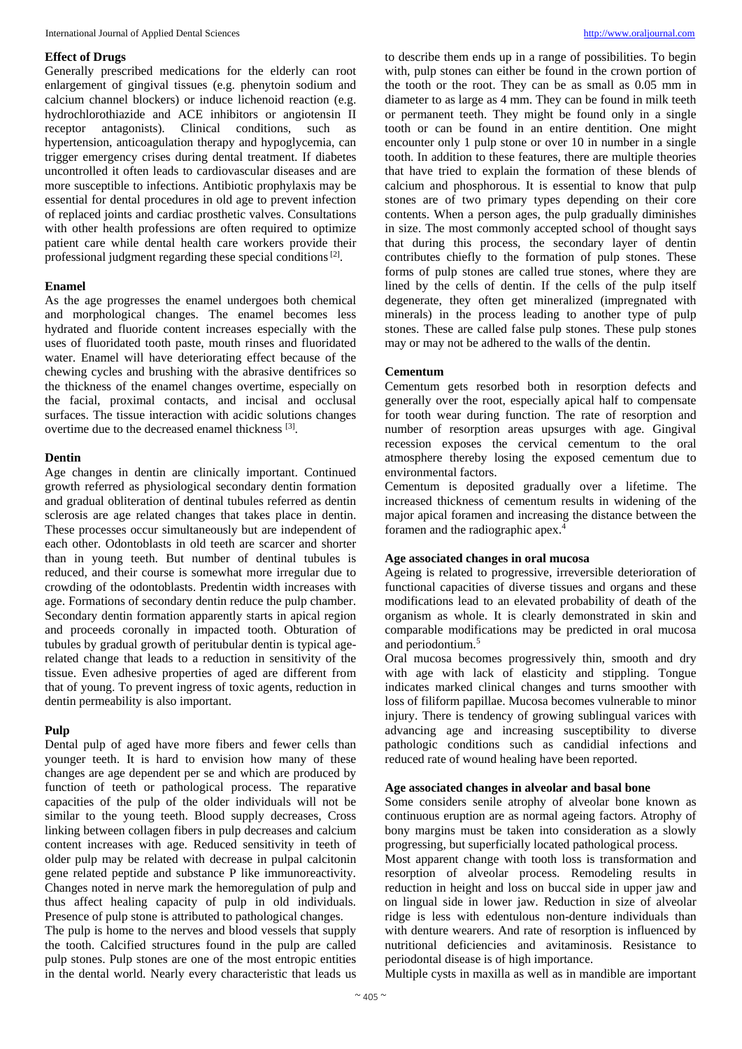## **Effect of Drugs**

Generally prescribed medications for the elderly can root enlargement of gingival tissues (e.g. phenytoin sodium and calcium channel blockers) or induce lichenoid reaction (e.g. hydrochlorothiazide and ACE inhibitors or angiotensin II receptor antagonists). Clinical conditions, such as hypertension, anticoagulation therapy and hypoglycemia, can trigger emergency crises during dental treatment. If diabetes uncontrolled it often leads to cardiovascular diseases and are more susceptible to infections. Antibiotic prophylaxis may be essential for dental procedures in old age to prevent infection of replaced joints and cardiac prosthetic valves. Consultations with other health professions are often required to optimize patient care while dental health care workers provide their professional judgment regarding these special conditions<sup>[2]</sup>.

### **Enamel**

As the age progresses the enamel undergoes both chemical and morphological changes. The enamel becomes less hydrated and fluoride content increases especially with the uses of fluoridated tooth paste, mouth rinses and fluoridated water. Enamel will have deteriorating effect because of the chewing cycles and brushing with the abrasive dentifrices so the thickness of the enamel changes overtime, especially on the facial, proximal contacts, and incisal and occlusal surfaces. The tissue interaction with acidic solutions changes overtime due to the decreased enamel thickness [3].

#### **Dentin**

Age changes in dentin are clinically important. Continued growth referred as physiological secondary dentin formation and gradual obliteration of dentinal tubules referred as dentin sclerosis are age related changes that takes place in dentin. These processes occur simultaneously but are independent of each other. Odontoblasts in old teeth are scarcer and shorter than in young teeth. But number of dentinal tubules is reduced, and their course is somewhat more irregular due to crowding of the odontoblasts. Predentin width increases with age. Formations of secondary dentin reduce the pulp chamber. Secondary dentin formation apparently starts in apical region and proceeds coronally in impacted tooth. Obturation of tubules by gradual growth of peritubular dentin is typical agerelated change that leads to a reduction in sensitivity of the tissue. Even adhesive properties of aged are different from that of young. To prevent ingress of toxic agents, reduction in dentin permeability is also important.

#### **Pulp**

Dental pulp of aged have more fibers and fewer cells than younger teeth. It is hard to envision how many of these changes are age dependent per se and which are produced by function of teeth or pathological process. The reparative capacities of the pulp of the older individuals will not be similar to the young teeth. Blood supply decreases, Cross linking between collagen fibers in pulp decreases and calcium content increases with age. Reduced sensitivity in teeth of older pulp may be related with decrease in pulpal calcitonin gene related peptide and substance P like immunoreactivity. Changes noted in nerve mark the hemoregulation of pulp and thus affect healing capacity of pulp in old individuals. Presence of pulp stone is attributed to pathological changes.

The pulp is home to the nerves and blood vessels that supply the tooth. Calcified structures found in the pulp are called pulp stones. Pulp stones are one of the most entropic entities in the dental world. Nearly every characteristic that leads us

to describe them ends up in a range of possibilities. To begin with, pulp stones can either be found in the crown portion of the tooth or the root. They can be as small as 0.05 mm in diameter to as large as 4 mm. They can be found in milk teeth or permanent teeth. They might be found only in a single tooth or can be found in an entire dentition. One might encounter only 1 pulp stone or over 10 in number in a single tooth. In addition to these features, there are multiple theories that have tried to explain the formation of these blends of calcium and phosphorous. It is essential to know that pulp stones are of two primary types depending on their core contents. When a person ages, the pulp gradually diminishes in size. The most commonly accepted school of thought says that during this process, the secondary layer of dentin contributes chiefly to the formation of pulp stones. These forms of pulp stones are called true stones, where they are lined by the cells of dentin. If the cells of the pulp itself degenerate, they often get mineralized (impregnated with minerals) in the process leading to another type of pulp stones. These are called false pulp stones. These pulp stones may or may not be adhered to the walls of the dentin.

### **Cementum**

Cementum gets resorbed both in resorption defects and generally over the root, especially apical half to compensate for tooth wear during function. The rate of resorption and number of resorption areas upsurges with age. Gingival recession exposes the cervical cementum to the oral atmosphere thereby losing the exposed cementum due to environmental factors.

Cementum is deposited gradually over a lifetime. The increased thickness of cementum results in widening of the major apical foramen and increasing the distance between the foramen and the radiographic apex.<sup>4</sup>

# **Age associated changes in oral mucosa**

Ageing is related to progressive, irreversible deterioration of functional capacities of diverse tissues and organs and these modifications lead to an elevated probability of death of the organism as whole. It is clearly demonstrated in skin and comparable modifications may be predicted in oral mucosa and periodontium.<sup>5</sup>

Oral mucosa becomes progressively thin, smooth and dry with age with lack of elasticity and stippling. Tongue indicates marked clinical changes and turns smoother with loss of filiform papillae. Mucosa becomes vulnerable to minor injury. There is tendency of growing sublingual varices with advancing age and increasing susceptibility to diverse pathologic conditions such as candidial infections and reduced rate of wound healing have been reported.

#### **Age associated changes in alveolar and basal bone**

Some considers senile atrophy of alveolar bone known as continuous eruption are as normal ageing factors. Atrophy of bony margins must be taken into consideration as a slowly progressing, but superficially located pathological process.

Most apparent change with tooth loss is transformation and resorption of alveolar process. Remodeling results in reduction in height and loss on buccal side in upper jaw and on lingual side in lower jaw. Reduction in size of alveolar ridge is less with edentulous non-denture individuals than with denture wearers. And rate of resorption is influenced by nutritional deficiencies and avitaminosis. Resistance to periodontal disease is of high importance.

Multiple cysts in maxilla as well as in mandible are important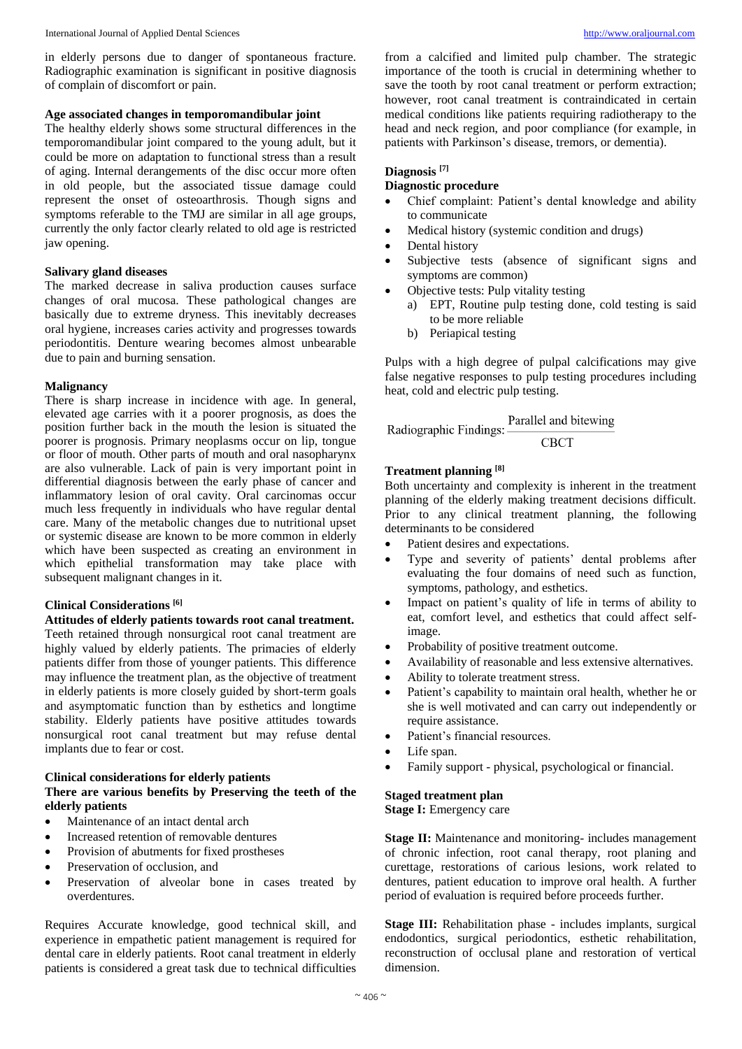in elderly persons due to danger of spontaneous fracture. Radiographic examination is significant in positive diagnosis of complain of discomfort or pain.

### **Age associated changes in temporomandibular joint**

The healthy elderly shows some structural differences in the temporomandibular joint compared to the young adult, but it could be more on adaptation to functional stress than a result of aging. Internal derangements of the disc occur more often in old people, but the associated tissue damage could represent the onset of osteoarthrosis. Though signs and symptoms referable to the TMJ are similar in all age groups, currently the only factor clearly related to old age is restricted jaw opening.

#### **Salivary gland diseases**

The marked decrease in saliva production causes surface changes of oral mucosa. These pathological changes are basically due to extreme dryness. This inevitably decreases oral hygiene, increases caries activity and progresses towards periodontitis. Denture wearing becomes almost unbearable due to pain and burning sensation.

#### **Malignancy**

There is sharp increase in incidence with age. In general, elevated age carries with it a poorer prognosis, as does the position further back in the mouth the lesion is situated the poorer is prognosis. Primary neoplasms occur on lip, tongue or floor of mouth. Other parts of mouth and oral nasopharynx are also vulnerable. Lack of pain is very important point in differential diagnosis between the early phase of cancer and inflammatory lesion of oral cavity. Oral carcinomas occur much less frequently in individuals who have regular dental care. Many of the metabolic changes due to nutritional upset or systemic disease are known to be more common in elderly which have been suspected as creating an environment in which epithelial transformation may take place with subsequent malignant changes in it.

## **Clinical Considerations [6]**

# **Attitudes of elderly patients towards root canal treatment.**

Teeth retained through nonsurgical root canal treatment are highly valued by elderly patients. The primacies of elderly patients differ from those of younger patients. This difference may influence the treatment plan, as the objective of treatment in elderly patients is more closely guided by short-term goals and asymptomatic function than by esthetics and longtime stability. Elderly patients have positive attitudes towards nonsurgical root canal treatment but may refuse dental implants due to fear or cost.

#### **Clinical considerations for elderly patients There are various benefits by Preserving the teeth of the elderly patients**

- Maintenance of an intact dental arch
- Increased retention of removable dentures
- Provision of abutments for fixed prostheses
- Preservation of occlusion, and
- Preservation of alveolar bone in cases treated by overdentures.

Requires Accurate knowledge, good technical skill, and experience in empathetic patient management is required for dental care in elderly patients. Root canal treatment in elderly patients is considered a great task due to technical difficulties

from a calcified and limited pulp chamber. The strategic importance of the tooth is crucial in determining whether to save the tooth by root canal treatment or perform extraction; however, root canal treatment is contraindicated in certain medical conditions like patients requiring radiotherapy to the head and neck region, and poor compliance (for example, in patients with Parkinson's disease, tremors, or dementia).

# **Diagnosis [7]**

# **Diagnostic procedure**

- Chief complaint: Patient's dental knowledge and ability to communicate
- Medical history (systemic condition and drugs)
- Dental history
- Subjective tests (absence of significant signs and symptoms are common)
- Objective tests: Pulp vitality testing
	- a) EPT, Routine pulp testing done, cold testing is said to be more reliable
	- b) Periapical testing

Pulps with a high degree of pulpal calcifications may give false negative responses to pulp testing procedures including heat, cold and electric pulp testing.

Radiographic Findings: Parallel and bitewing **CBCT** 

#### **Treatment planning [8]**

Both uncertainty and complexity is inherent in the treatment planning of the elderly making treatment decisions difficult. Prior to any clinical treatment planning, the following determinants to be considered

- Patient desires and expectations.
- Type and severity of patients' dental problems after evaluating the four domains of need such as function, symptoms, pathology, and esthetics.
- Impact on patient's quality of life in terms of ability to eat, comfort level, and esthetics that could affect selfimage.
- Probability of positive treatment outcome.
- Availability of reasonable and less extensive alternatives.
- Ability to tolerate treatment stress.
- Patient's capability to maintain oral health, whether he or she is well motivated and can carry out independently or require assistance.
- Patient's financial resources.
- Life span.
- Family support physical, psychological or financial.

# **Staged treatment plan**

**Stage I:** Emergency care

**Stage II:** Maintenance and monitoring- includes management of chronic infection, root canal therapy, root planing and curettage, restorations of carious lesions, work related to dentures, patient education to improve oral health. A further period of evaluation is required before proceeds further.

**Stage III:** Rehabilitation phase - includes implants, surgical endodontics, surgical periodontics, esthetic rehabilitation, reconstruction of occlusal plane and restoration of vertical dimension.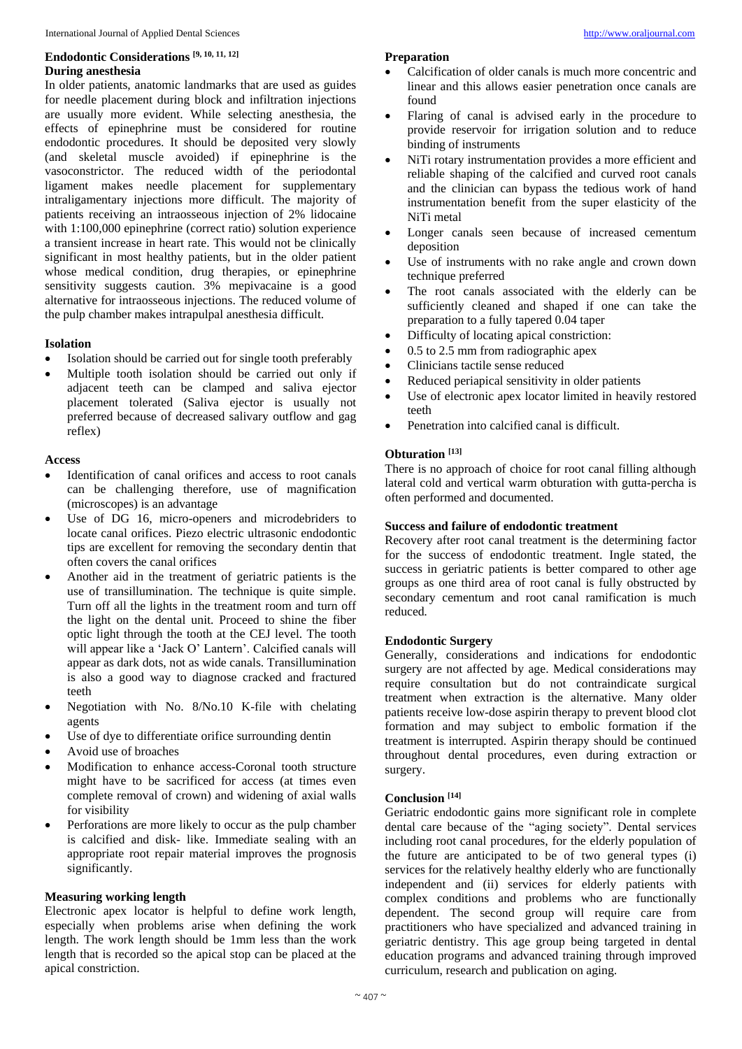# **Endodontic Considerations [9, 10, 11, 12] During anesthesia**

In older patients, anatomic landmarks that are used as guides for needle placement during block and infiltration injections are usually more evident. While selecting anesthesia, the effects of epinephrine must be considered for routine endodontic procedures. It should be deposited very slowly (and skeletal muscle avoided) if epinephrine is the vasoconstrictor. The reduced width of the periodontal ligament makes needle placement for supplementary intraligamentary injections more difficult. The majority of patients receiving an intraosseous injection of 2% lidocaine with 1:100,000 epinephrine (correct ratio) solution experience a transient increase in heart rate. This would not be clinically significant in most healthy patients, but in the older patient whose medical condition, drug therapies, or epinephrine sensitivity suggests caution. 3% mepivacaine is a good alternative for intraosseous injections. The reduced volume of the pulp chamber makes intrapulpal anesthesia difficult.

### **Isolation**

- Isolation should be carried out for single tooth preferably
- Multiple tooth isolation should be carried out only if adjacent teeth can be clamped and saliva ejector placement tolerated (Saliva ejector is usually not preferred because of decreased salivary outflow and gag reflex)

### **Access**

- Identification of canal orifices and access to root canals can be challenging therefore, use of magnification (microscopes) is an advantage
- Use of DG 16, micro-openers and microdebriders to locate canal orifices. Piezo electric ultrasonic endodontic tips are excellent for removing the secondary dentin that often covers the canal orifices
- Another aid in the treatment of geriatric patients is the use of transillumination. The technique is quite simple. Turn off all the lights in the treatment room and turn off the light on the dental unit. Proceed to shine the fiber optic light through the tooth at the CEJ level. The tooth will appear like a 'Jack O' Lantern'. Calcified canals will appear as dark dots, not as wide canals. Transillumination is also a good way to diagnose cracked and fractured teeth
- Negotiation with No. 8/No.10 K-file with chelating agents
- Use of dye to differentiate orifice surrounding dentin
- Avoid use of broaches
- Modification to enhance access-Coronal tooth structure might have to be sacrificed for access (at times even complete removal of crown) and widening of axial walls for visibility
- Perforations are more likely to occur as the pulp chamber is calcified and disk- like. Immediate sealing with an appropriate root repair material improves the prognosis significantly.

### **Measuring working length**

Electronic apex locator is helpful to define work length, especially when problems arise when defining the work length. The work length should be 1mm less than the work length that is recorded so the apical stop can be placed at the apical constriction.

### **Preparation**

- 
- Calcification of older canals is much more concentric and linear and this allows easier penetration once canals are found
- Flaring of canal is advised early in the procedure to provide reservoir for irrigation solution and to reduce binding of instruments
- NiTi rotary instrumentation provides a more efficient and reliable shaping of the calcified and curved root canals and the clinician can bypass the tedious work of hand instrumentation benefit from the super elasticity of the NiTi metal
- Longer canals seen because of increased cementum deposition
- Use of instruments with no rake angle and crown down technique preferred
- The root canals associated with the elderly can be sufficiently cleaned and shaped if one can take the preparation to a fully tapered 0.04 taper
- Difficulty of locating apical constriction:
- $\bullet$  0.5 to 2.5 mm from radiographic apex
- Clinicians tactile sense reduced
- Reduced periapical sensitivity in older patients
- Use of electronic apex locator limited in heavily restored teeth
- Penetration into calcified canal is difficult.

# **Obturation [13]**

There is no approach of choice for root canal filling although lateral cold and vertical warm obturation with gutta-percha is often performed and documented.

### **Success and failure of endodontic treatment**

Recovery after root canal treatment is the determining factor for the success of endodontic treatment. Ingle stated, the success in geriatric patients is better compared to other age groups as one third area of root canal is fully obstructed by secondary cementum and root canal ramification is much reduced*.*

# **Endodontic Surgery**

Generally, considerations and indications for endodontic surgery are not affected by age. Medical considerations may require consultation but do not contraindicate surgical treatment when extraction is the alternative. Many older patients receive low-dose aspirin therapy to prevent blood clot formation and may subject to embolic formation if the treatment is interrupted. Aspirin therapy should be continued throughout dental procedures, even during extraction or surgery.

# **Conclusion [14]**

Geriatric endodontic gains more significant role in complete dental care because of the "aging society". Dental services including root canal procedures, for the elderly population of the future are anticipated to be of two general types (i) services for the relatively healthy elderly who are functionally independent and (ii) services for elderly patients with complex conditions and problems who are functionally dependent. The second group will require care from practitioners who have specialized and advanced training in geriatric dentistry. This age group being targeted in dental education programs and advanced training through improved curriculum, research and publication on aging.